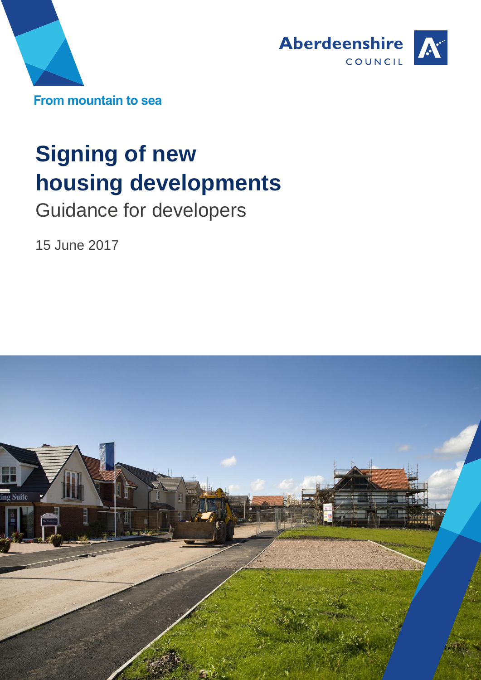



# **Signing of new housing developments**

Guidance for developers

15 June 2017

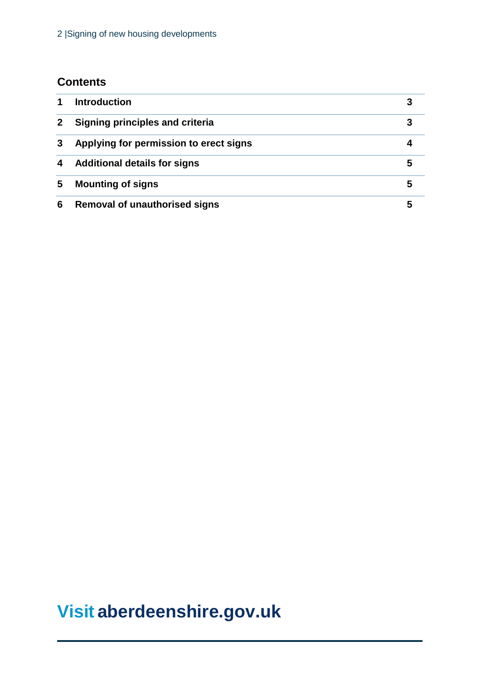# **Contents**

|   | Introduction                           |   |
|---|----------------------------------------|---|
|   | Signing principles and criteria        |   |
| 3 | Applying for permission to erect signs |   |
| 4 | <b>Additional details for signs</b>    |   |
| 5 | <b>Mounting of signs</b>               | 5 |
| 6 | <b>Removal of unauthorised signs</b>   |   |

# **Visit [aberdeenshire.gov.uk](http://www.zerowastescotland.org.uk/)**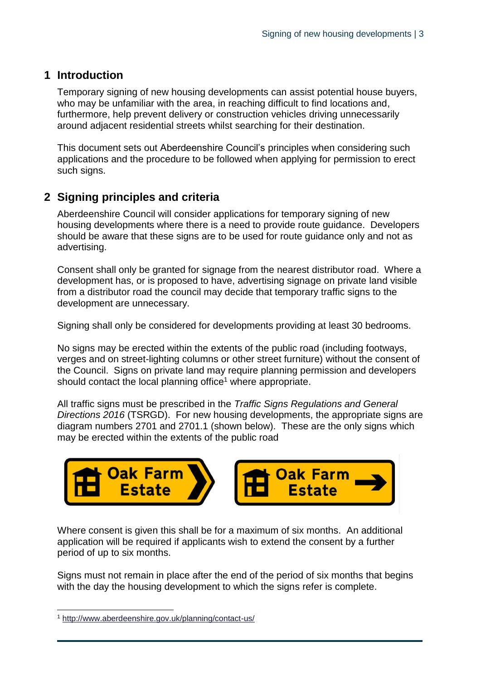#### **1 Introduction**

Temporary signing of new housing developments can assist potential house buyers, who may be unfamiliar with the area, in reaching difficult to find locations and, furthermore, help prevent delivery or construction vehicles driving unnecessarily around adjacent residential streets whilst searching for their destination.

This document sets out Aberdeenshire Council's principles when considering such applications and the procedure to be followed when applying for permission to erect such signs.

# **2 Signing principles and criteria**

Aberdeenshire Council will consider applications for temporary signing of new housing developments where there is a need to provide route guidance. Developers should be aware that these signs are to be used for route guidance only and not as advertising.

Consent shall only be granted for signage from the nearest distributor road. Where a development has, or is proposed to have, advertising signage on private land visible from a distributor road the council may decide that temporary traffic signs to the development are unnecessary.

Signing shall only be considered for developments providing at least 30 bedrooms.

No signs may be erected within the extents of the public road (including footways, verges and on street-lighting columns or other street furniture) without the consent of the Council. Signs on private land may require planning permission and developers should contact the local planning office<sup>1</sup> where appropriate.

All traffic signs must be prescribed in the *Traffic Signs Regulations and General Directions 2016* (TSRGD). For new housing developments, the appropriate signs are diagram numbers 2701 and 2701.1 (shown below). These are the only signs which may be erected within the extents of the public road



Where consent is given this shall be for a maximum of six months. An additional application will be required if applicants wish to extend the consent by a further period of up to six months.

Signs must not remain in place after the end of the period of six months that begins with the day the housing development to which the signs refer is complete.

l

<sup>1</sup> <http://www.aberdeenshire.gov.uk/planning/contact-us/>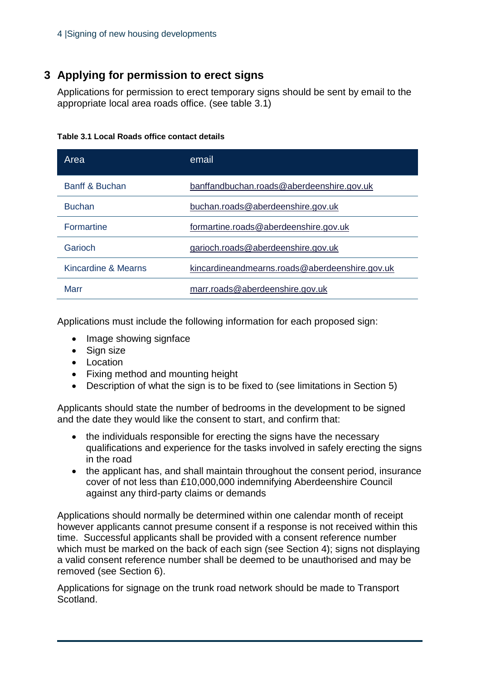# **3 Applying for permission to erect signs**

Applications for permission to erect temporary signs should be sent by email to the appropriate local area roads office. (see table 3.1)

| Area                | email                                          |
|---------------------|------------------------------------------------|
| Banff & Buchan      | banffandbuchan.roads@aberdeenshire.gov.uk      |
| <b>Buchan</b>       | buchan.roads@aberdeenshire.gov.uk              |
| <b>Formartine</b>   | formartine.roads@aberdeenshire.gov.uk          |
| Garioch             | garioch.roads@aberdeenshire.gov.uk             |
| Kincardine & Mearns | kincardineandmearns.roads@aberdeenshire.gov.uk |
| Marr                | marr.roads@aberdeenshire.gov.uk                |

Applications must include the following information for each proposed sign:

- Image showing signface
- Sign size
- Location
- Fixing method and mounting height
- Description of what the sign is to be fixed to (see limitations in Section 5)

Applicants should state the number of bedrooms in the development to be signed and the date they would like the consent to start, and confirm that:

- the individuals responsible for erecting the signs have the necessary qualifications and experience for the tasks involved in safely erecting the signs in the road
- the applicant has, and shall maintain throughout the consent period, insurance cover of not less than £10,000,000 indemnifying Aberdeenshire Council against any third-party claims or demands

Applications should normally be determined within one calendar month of receipt however applicants cannot presume consent if a response is not received within this time. Successful applicants shall be provided with a consent reference number which must be marked on the back of each sign (see Section 4); signs not displaying a valid consent reference number shall be deemed to be unauthorised and may be removed (see Section 6).

Applications for signage on the trunk road network should be made to Transport Scotland.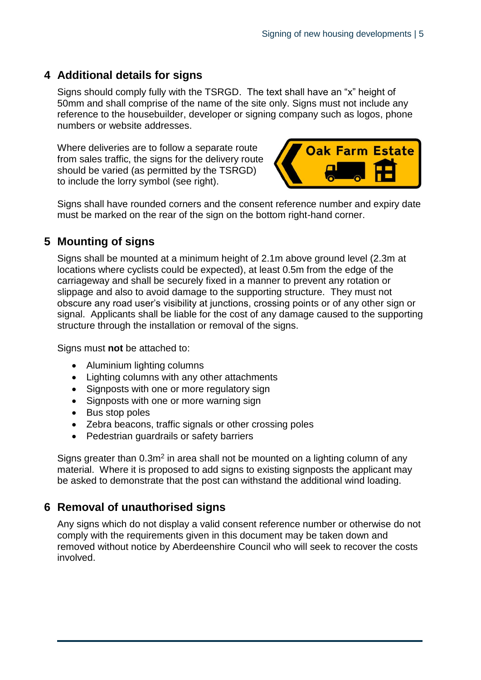### **4 Additional details for signs**

Signs should comply fully with the TSRGD. The text shall have an "x" height of 50mm and shall comprise of the name of the site only. Signs must not include any reference to the housebuilder, developer or signing company such as logos, phone numbers or website addresses.

Where deliveries are to follow a separate route from sales traffic, the signs for the delivery route should be varied (as permitted by the TSRGD) to include the lorry symbol (see right).



Signs shall have rounded corners and the consent reference number and expiry date must be marked on the rear of the sign on the bottom right-hand corner.

### **5 Mounting of signs**

Signs shall be mounted at a minimum height of 2.1m above ground level (2.3m at locations where cyclists could be expected), at least 0.5m from the edge of the carriageway and shall be securely fixed in a manner to prevent any rotation or slippage and also to avoid damage to the supporting structure. They must not obscure any road user's visibility at junctions, crossing points or of any other sign or signal. Applicants shall be liable for the cost of any damage caused to the supporting structure through the installation or removal of the signs.

Signs must **not** be attached to:

- Aluminium lighting columns
- Lighting columns with any other attachments
- Signposts with one or more regulatory sign
- Signposts with one or more warning sign
- Bus stop poles
- Zebra beacons, traffic signals or other crossing poles
- Pedestrian guardrails or safety barriers

Signs greater than  $0.3m^2$  in area shall not be mounted on a lighting column of any material. Where it is proposed to add signs to existing signposts the applicant may be asked to demonstrate that the post can withstand the additional wind loading.

### **6 Removal of unauthorised signs**

Any signs which do not display a valid consent reference number or otherwise do not comply with the requirements given in this document may be taken down and removed without notice by Aberdeenshire Council who will seek to recover the costs involved.